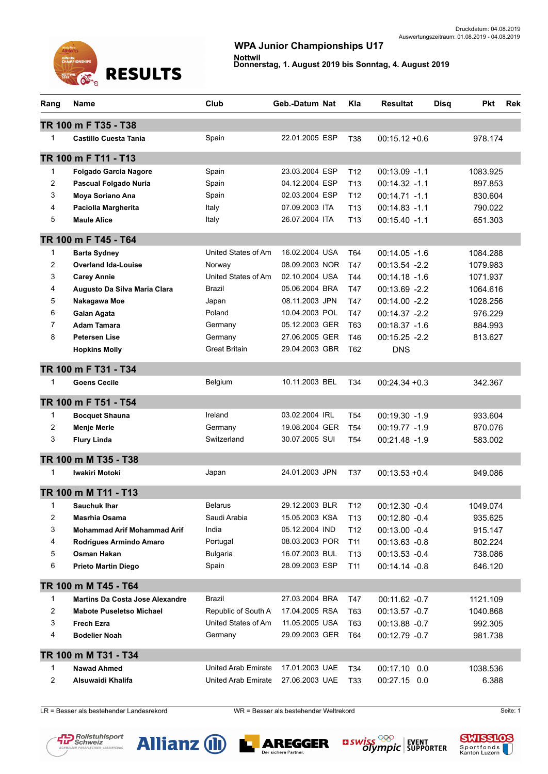

**Nottwil Donnerstag, 1. August 2019 bis Sonntag, 4. August 2019** 

| Rang           | Name                                   | Club                | Geb.-Datum Nat | Kla             | <b>Resultat</b>  | <b>Disq</b><br><b>Pkt</b> | <b>Rek</b> |
|----------------|----------------------------------------|---------------------|----------------|-----------------|------------------|---------------------------|------------|
|                | TR 100 m F T35 - T38                   |                     |                |                 |                  |                           |            |
| 1              | <b>Castillo Cuesta Tania</b>           | Spain               | 22.01.2005 ESP | T38             | $00:15.12 + 0.6$ | 978.174                   |            |
|                | TR 100 m F T11 - T13                   |                     |                |                 |                  |                           |            |
| 1              | <b>Folgado Garcia Nagore</b>           | Spain               | 23.03.2004 ESP | T <sub>12</sub> | $00:13.09 - 1.1$ | 1083.925                  |            |
| 2              | Pascual Folgado Nuria                  | Spain               | 04.12.2004 ESP | T <sub>13</sub> | $00:14.32 -1.1$  | 897.853                   |            |
| 3              | Moya Soriano Ana                       | Spain               | 02.03.2004 ESP | T <sub>12</sub> | $00:14.71 - 1.1$ | 830.604                   |            |
| 4              | Paciolla Margherita                    | Italy               | 07.09.2003 ITA | T <sub>13</sub> | $00:14.83 - 1.1$ | 790.022                   |            |
| 5              | <b>Maule Alice</b>                     | Italy               | 26.07.2004 ITA | T <sub>13</sub> | 00:15.40 -1.1    | 651.303                   |            |
|                | TR 100 m F T45 - T64                   |                     |                |                 |                  |                           |            |
| 1              | <b>Barta Sydney</b>                    | United States of Am | 16.02.2004 USA | T64             | $00:14.05 - 1.6$ | 1084.288                  |            |
| 2              | <b>Overland Ida-Louise</b>             | Norway              | 08.09.2003 NOR | T47             | $00:13.54 - 2.2$ | 1079.983                  |            |
| 3              | <b>Carey Annie</b>                     | United States of Am | 02.10.2004 USA | T44             | 00:14.18 -1.6    | 1071.937                  |            |
| 4              | Augusto Da Silva Maria Clara           | Brazil              | 05.06.2004 BRA | T47             | 00:13.69 -2.2    | 1064.616                  |            |
| 5              | Nakagawa Moe                           | Japan               | 08.11.2003 JPN | T47             | 00:14.00 -2.2    | 1028.256                  |            |
| 6              | <b>Galan Agata</b>                     | Poland              | 10.04.2003 POL | T47             | $00:14.37 - 2.2$ | 976.229                   |            |
| $\overline{7}$ | <b>Adam Tamara</b>                     | Germany             | 05.12.2003 GER | T63             | 00:18.37 -1.6    | 884.993                   |            |
| 8              | <b>Petersen Lise</b>                   | Germany             | 27.06.2005 GER | T46             | $00:15.25 - 2.2$ | 813.627                   |            |
|                | <b>Hopkins Molly</b>                   | Great Britain       | 29.04.2003 GBR | T <sub>62</sub> | <b>DNS</b>       |                           |            |
|                | TR 100 m F T31 - T34                   |                     |                |                 |                  |                           |            |
| 1              | <b>Goens Cecile</b>                    | Belgium             | 10.11.2003 BEL | T34             | $00:24.34 + 0.3$ | 342.367                   |            |
|                | TR 100 m F T51 - T54                   |                     |                |                 |                  |                           |            |
| 1              | <b>Bocquet Shauna</b>                  | Ireland             | 03.02.2004 IRL | T <sub>54</sub> | $00:19.30 -1.9$  | 933.604                   |            |
| $\overline{c}$ | <b>Menje Merle</b>                     | Germany             | 19.08.2004 GER | T <sub>54</sub> | 00:19.77 -1.9    | 870.076                   |            |
| 3              | <b>Flury Linda</b>                     | Switzerland         | 30.07.2005 SUI | T <sub>54</sub> | 00:21.48 -1.9    | 583.002                   |            |
|                | TR 100 m M T35 - T38                   |                     |                |                 |                  |                           |            |
| 1              | <b>Iwakiri Motoki</b>                  | Japan               | 24.01.2003 JPN | T37             | $00:13.53 + 0.4$ | 949.086                   |            |
|                | TR 100 m M T11 - T13                   |                     |                |                 |                  |                           |            |
| 1              | Sauchuk Ihar                           | Belarus             | 29.12.2003 BLR | T12             | 00:12.30 -0.4    | 1049.074                  |            |
| 2              | Masrhia Osama                          | Saudi Arabia        | 15.05.2003 KSA | T <sub>13</sub> | 00:12.80 -0.4    | 935.625                   |            |
| 3              | <b>Mohammad Arif Mohammad Arif</b>     | India               | 05.12.2004 IND | T12             | 00:13.00 -0.4    | 915.147                   |            |
| 4              | Rodrigues Armindo Amaro                | Portugal            | 08.03.2003 POR | T11             | 00:13.63 -0.8    | 802.224                   |            |
| 5              | Osman Hakan                            | <b>Bulgaria</b>     | 16.07.2003 BUL | T <sub>13</sub> | 00:13.53 -0.4    | 738.086                   |            |
| 6              | Prieto Martin Diego                    | Spain               | 28.09.2003 ESP | T11             | $00:14.14 - 0.8$ | 646.120                   |            |
|                | TR 100 m M T45 - T64                   |                     |                |                 |                  |                           |            |
| 1              | <b>Martins Da Costa Jose Alexandre</b> | Brazil              | 27.03.2004 BRA | T47             | 00:11.62 -0.7    | 1121.109                  |            |
| $\overline{c}$ | <b>Mabote Puseletso Michael</b>        | Republic of South A | 17.04.2005 RSA | T63             | 00:13.57 -0.7    | 1040.868                  |            |
| 3              | <b>Frech Ezra</b>                      | United States of Am | 11.05.2005 USA | T63             | 00:13.88 -0.7    | 992.305                   |            |
| 4              | <b>Bodelier Noah</b>                   | Germany             | 29.09.2003 GER | T64             | 00:12.79 -0.7    | 981.738                   |            |
|                | TR 100 m M T31 - T34                   |                     |                |                 |                  |                           |            |
| 1              | <b>Nawad Ahmed</b>                     | United Arab Emirate | 17.01.2003 UAE | T34             | 00:17.10 0.0     | 1038.536                  |            |
| 2              | Alsuwaidi Khalifa                      | United Arab Emirate | 27.06.2003 UAE | T33             | 00:27.15 0.0     | 6.388                     |            |







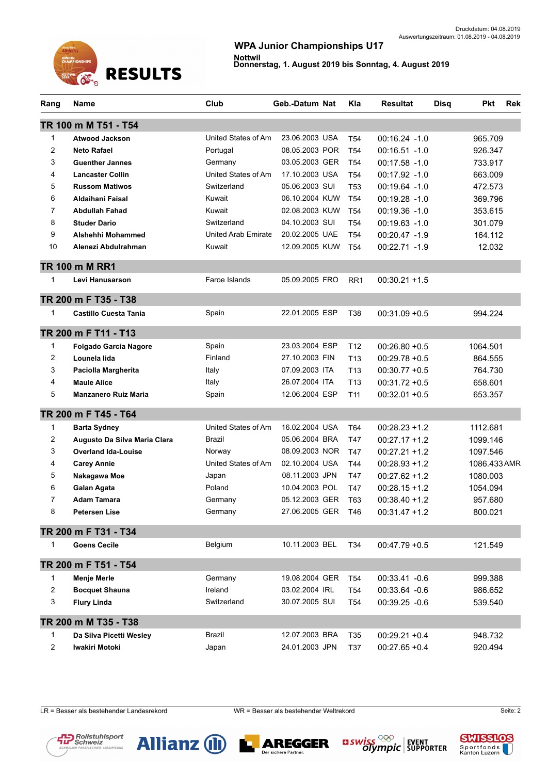

**Nottwil Donnerstag, 1. August 2019 bis Sonntag, 4. August 2019** 

| Rang         | Name                         | Club                | Geb.-Datum Nat | Kla             | <b>Resultat</b>  | <b>Disq</b> | <b>Pkt</b>   | <b>Rek</b> |
|--------------|------------------------------|---------------------|----------------|-----------------|------------------|-------------|--------------|------------|
|              | TR 100 m M T51 - T54         |                     |                |                 |                  |             |              |            |
| 1            | <b>Atwood Jackson</b>        | United States of Am | 23.06.2003 USA | T <sub>54</sub> | $00:16.24 - 1.0$ |             | 965.709      |            |
| 2            | <b>Neto Rafael</b>           | Portugal            | 08.05.2003 POR | T <sub>54</sub> | $00:16.51 - 1.0$ |             | 926.347      |            |
| 3            | <b>Guenther Jannes</b>       | Germany             | 03.05.2003 GER | T <sub>54</sub> | 00:17.58 -1.0    |             | 733.917      |            |
| 4            | <b>Lancaster Collin</b>      | United States of Am | 17.10.2003 USA | T <sub>54</sub> | 00:17.92 -1.0    |             | 663.009      |            |
| 5            | <b>Russom Matiwos</b>        | Switzerland         | 05.06.2003 SUI | <b>T53</b>      | $00:19.64 - 1.0$ |             | 472.573      |            |
| 6            | Aldaihani Faisal             | Kuwait              | 06.10.2004 KUW | T <sub>54</sub> | 00:19.28 -1.0    |             | 369.796      |            |
| 7            | <b>Abdullah Fahad</b>        | Kuwait              | 02.08.2003 KUW | T <sub>54</sub> | 00:19.36 -1.0    |             | 353.615      |            |
| 8            | <b>Studer Dario</b>          | Switzerland         | 04.10.2003 SUI | T <sub>54</sub> | $00:19.63 - 1.0$ |             | 301.079      |            |
| 9            | Alshehhi Mohammed            | United Arab Emirate | 20.02.2005 UAE | T <sub>54</sub> | 00:20.47 -1.9    |             | 164.112      |            |
| 10           | Alenezi Abdulrahman          | Kuwait              | 12.09.2005 KUW | T <sub>54</sub> | 00:22.71 -1.9    |             | 12.032       |            |
|              | <b>TR 100 m M RR1</b>        |                     |                |                 |                  |             |              |            |
| $\mathbf{1}$ | Levi Hanusarson              | Faroe Islands       | 05.09.2005 FRO | RR <sub>1</sub> | $00:30.21 + 1.5$ |             |              |            |
|              | TR 200 m F T35 - T38         |                     |                |                 |                  |             |              |            |
| 1            | <b>Castillo Cuesta Tania</b> | Spain               | 22.01.2005 ESP | T38             | $00:31.09 + 0.5$ |             | 994.224      |            |
|              | TR 200 m F T11 - T13         |                     |                |                 |                  |             |              |            |
| 1            | <b>Folgado Garcia Nagore</b> | Spain               | 23.03.2004 ESP | T <sub>12</sub> | $00:26.80 + 0.5$ |             | 1064.501     |            |
| 2            | Lounela lida                 | Finland             | 27.10.2003 FIN | T <sub>13</sub> | $00:29.78 + 0.5$ |             | 864.555      |            |
| 3            | Paciolla Margherita          | Italy               | 07.09.2003 ITA | T <sub>13</sub> | $00:30.77 + 0.5$ |             | 764.730      |            |
| 4            | <b>Maule Alice</b>           | Italy               | 26.07.2004 ITA | T <sub>13</sub> | $00:31.72 + 0.5$ |             | 658.601      |            |
| 5            | <b>Manzanero Ruiz Maria</b>  | Spain               | 12.06.2004 ESP | T <sub>11</sub> | $00:32.01 + 0.5$ |             | 653.357      |            |
|              | TR 200 m F T45 - T64         |                     |                |                 |                  |             |              |            |
| 1            | <b>Barta Sydney</b>          | United States of Am | 16.02.2004 USA | T64             | $00:28.23 + 1.2$ |             | 1112.681     |            |
| 2            | Augusto Da Silva Maria Clara | Brazil              | 05.06.2004 BRA | T47             | $00:27.17+1.2$   |             | 1099.146     |            |
| 3            | <b>Overland Ida-Louise</b>   | Norway              | 08.09.2003 NOR | T47             | $00:27.21 + 1.2$ |             | 1097.546     |            |
| 4            | <b>Carey Annie</b>           | United States of Am | 02.10.2004 USA | T44             | $00:28.93 + 1.2$ |             | 1086.433 AMR |            |
| 5            | Nakagawa Moe                 | Japan               | 08.11.2003 JPN | T47             | $00:27.62 + 1.2$ |             | 1080.003     |            |
| 6            | Galan Agata                  | Poland              | 10.04.2003 POL | T47             | $00:28.15 + 1.2$ |             | 1054.094     |            |
| 7            | <b>Adam Tamara</b>           | Germany             | 05.12.2003 GER | T63             | $00:38.40 + 1.2$ |             | 957.680      |            |
| 8            | <b>Petersen Lise</b>         | Germany             | 27.06.2005 GER | T46             | $00:31.47 + 1.2$ |             | 800.021      |            |
|              | TR 200 m F T31 - T34         |                     |                |                 |                  |             |              |            |
| 1            | <b>Goens Cecile</b>          | Belgium             | 10.11.2003 BEL | T34             | $00:47.79 + 0.5$ |             | 121.549      |            |
|              | TR 200 m F T51 - T54         |                     |                |                 |                  |             |              |            |
| 1            | <b>Menje Merle</b>           | Germany             | 19.08.2004 GER | T <sub>54</sub> | 00:33.41 -0.6    |             | 999.388      |            |
| 2            | <b>Bocquet Shauna</b>        | Ireland             | 03.02.2004 IRL | T54             | 00:33.64 -0.6    |             | 986.652      |            |
| 3            | <b>Flury Linda</b>           | Switzerland         | 30.07.2005 SUI | T54             | 00:39.25 -0.6    |             | 539.540      |            |
|              | TR 200 m M T35 - T38         |                     |                |                 |                  |             |              |            |
| 1            | Da Silva Picetti Wesley      | Brazil              | 12.07.2003 BRA | T35             | $00:29.21 + 0.4$ |             | 948.732      |            |
| 2            | Iwakiri Motoki               | Japan               | 24.01.2003 JPN | T37             | $00:27.65 + 0.4$ |             | 920.494      |            |









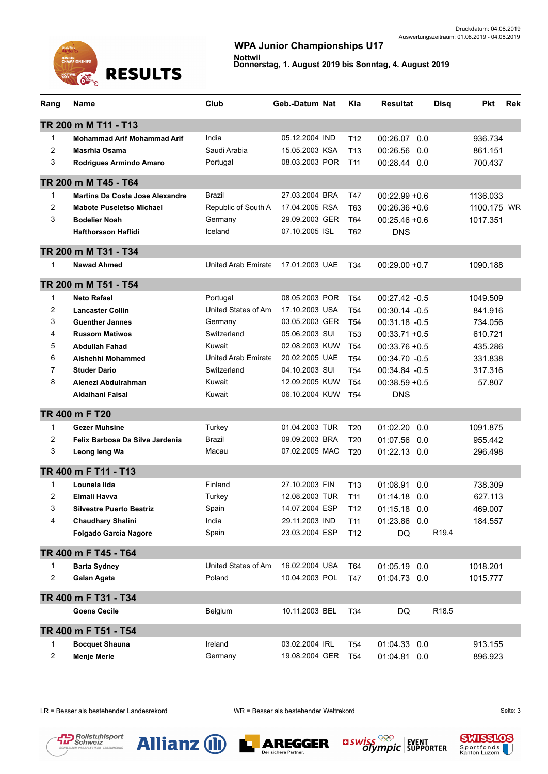

**Nottwil Donnerstag, 1. August 2019 bis Sonntag, 4. August 2019** 

| Rang                    | Name                                   | Club                       | Geb.-Datum Nat | Kla             | <b>Resultat</b>  | <b>Disq</b>       | <b>Pkt</b>  | <b>Rek</b> |
|-------------------------|----------------------------------------|----------------------------|----------------|-----------------|------------------|-------------------|-------------|------------|
|                         | TR 200 m M T11 - T13                   |                            |                |                 |                  |                   |             |            |
| 1                       | <b>Mohammad Arif Mohammad Arif</b>     | India                      | 05.12.2004 IND | T <sub>12</sub> | 00:26.07<br>0.0  |                   | 936.734     |            |
| 2                       | <b>Masrhia Osama</b>                   | Saudi Arabia               | 15.05.2003 KSA | T <sub>13</sub> | 00:26.56<br>0.0  |                   | 861.151     |            |
| 3                       | Rodrigues Armindo Amaro                | Portugal                   | 08.03.2003 POR | T <sub>11</sub> | 00:28.44 0.0     |                   | 700.437     |            |
|                         | TR 200 m M T45 - T64                   |                            |                |                 |                  |                   |             |            |
| 1                       | <b>Martins Da Costa Jose Alexandre</b> | Brazil                     | 27.03.2004 BRA | T47             | $00:22.99 + 0.6$ |                   | 1136.033    |            |
| 2                       | <b>Mabote Puseletso Michael</b>        | Republic of South A        | 17.04.2005 RSA | T63             | $00:26.36 + 0.6$ |                   | 1100.175 WR |            |
| 3                       | <b>Bodelier Noah</b>                   | Germany                    | 29.09.2003 GER | T64             | $00:25.46 + 0.6$ |                   | 1017.351    |            |
|                         | <b>Hafthorsson Haflidi</b>             | Iceland                    | 07.10.2005 ISL | T62             | <b>DNS</b>       |                   |             |            |
|                         | TR 200 m M T31 - T34                   |                            |                |                 |                  |                   |             |            |
| 1                       | <b>Nawad Ahmed</b>                     | United Arab Emirate        | 17.01.2003 UAE | T34             | $00:29.00 + 0.7$ |                   | 1090.188    |            |
|                         | TR 200 m M T51 - T54                   |                            |                |                 |                  |                   |             |            |
| $\mathbf{1}$            | <b>Neto Rafael</b>                     | Portugal                   | 08.05.2003 POR | T <sub>54</sub> | 00:27.42 -0.5    |                   | 1049.509    |            |
| 2                       | <b>Lancaster Collin</b>                | United States of Am        | 17.10.2003 USA | T <sub>54</sub> | $00:30.14 - 0.5$ |                   | 841.916     |            |
| 3                       | <b>Guenther Jannes</b>                 | Germany                    | 03.05.2003 GER | T <sub>54</sub> | 00:31.18 -0.5    |                   | 734.056     |            |
| 4                       | <b>Russom Matiwos</b>                  | Switzerland                | 05.06.2003 SUI | T <sub>53</sub> | $00:33.71 + 0.5$ |                   | 610.721     |            |
| 5                       | <b>Abdullah Fahad</b>                  | Kuwait                     | 02.08.2003 KUW | T <sub>54</sub> | $00:33.76 + 0.5$ |                   | 435.286     |            |
| 6                       | Alshehhi Mohammed                      | <b>United Arab Emirate</b> | 20.02.2005 UAE | T <sub>54</sub> | 00:34.70 -0.5    |                   | 331.838     |            |
| 7                       | <b>Studer Dario</b>                    | Switzerland                | 04.10.2003 SUI | T <sub>54</sub> | 00:34.84 -0.5    |                   | 317.316     |            |
| 8                       | Alenezi Abdulrahman                    | Kuwait                     | 12.09.2005 KUW | T <sub>54</sub> | $00:38.59 + 0.5$ |                   | 57.807      |            |
|                         | Aldaihani Faisal                       | Kuwait                     | 06.10.2004 KUW | T <sub>54</sub> | DNS              |                   |             |            |
|                         | TR 400 m F T20                         |                            |                |                 |                  |                   |             |            |
| $\mathbf{1}$            | Gezer Muhsine                          | Turkey                     | 01.04.2003 TUR | T20             | 01:02.20<br>0.0  |                   | 1091.875    |            |
| 2                       | Felix Barbosa Da Silva Jardenia        | Brazil                     | 09.09.2003 BRA | T20             | 01:07.56<br>0.0  |                   | 955.442     |            |
| 3                       | Leong leng Wa                          | Macau                      | 07.02.2005 MAC | T <sub>20</sub> | 01:22.13 0.0     |                   | 296.498     |            |
|                         | TR 400 m F T11 - T13                   |                            |                |                 |                  |                   |             |            |
| $\mathbf{1}$            | Lounela lida                           | Finland                    | 27.10.2003 FIN | T <sub>13</sub> | 01:08.91<br>0.0  |                   | 738.309     |            |
| $\overline{2}$          | Elmali Havva                           | Turkey                     | 12.08.2003 TUR | T <sub>11</sub> | 01:14.18 0.0     |                   | 627.113     |            |
| 3                       | <b>Silvestre Puerto Beatriz</b>        | Spain                      | 14.07.2004 ESP | T12             | 01:15.18 0.0     |                   | 469.007     |            |
| 4                       | <b>Chaudhary Shalini</b>               | India                      | 29.11.2003 IND | T11             | 01:23.86 0.0     |                   | 184.557     |            |
|                         | <b>Folgado Garcia Nagore</b>           | Spain                      | 23.03.2004 ESP | T <sub>12</sub> | <b>DQ</b>        | R <sub>19.4</sub> |             |            |
|                         | TR 400 m F T45 - T64                   |                            |                |                 |                  |                   |             |            |
| 1                       | <b>Barta Sydney</b>                    | United States of Am        | 16.02.2004 USA | T64             | 01:05.19<br>0.0  |                   | 1018.201    |            |
| $\overline{\mathbf{c}}$ | <b>Galan Agata</b>                     | Poland                     | 10.04.2003 POL | T47             | 01:04.73 0.0     |                   | 1015.777    |            |
|                         | TR 400 m F T31 - T34                   |                            |                |                 |                  |                   |             |            |
|                         | <b>Goens Cecile</b>                    | Belgium                    | 10.11.2003 BEL | T34             | DQ               | R <sub>18.5</sub> |             |            |
|                         | TR 400 m F T51 - T54                   |                            |                |                 |                  |                   |             |            |
| 1                       | <b>Bocquet Shauna</b>                  | Ireland                    | 03.02.2004 IRL | T <sub>54</sub> | 01:04.33<br>0.0  |                   | 913.155     |            |
| $\overline{c}$          | Menje Merle                            | Germany                    | 19.08.2004 GER | T <sub>54</sub> | 01:04.81 0.0     |                   | 896.923     |            |

LR = Besser als bestehender Landesrekord WR = Besser als bestehender Weltrekord Seite: 3



**Allianz (1)** 





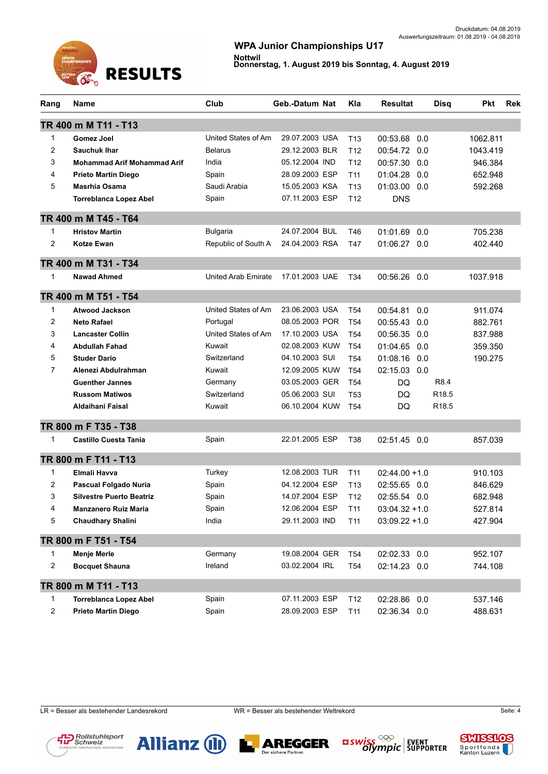

**Nottwil Donnerstag, 1. August 2019 bis Sonntag, 4. August 2019** 

| Rang           | Name                               | Club                       | Geb.-Datum Nat | Kla             | Resultat         | <b>Disq</b>       | <b>Pkt</b> | Rek |
|----------------|------------------------------------|----------------------------|----------------|-----------------|------------------|-------------------|------------|-----|
|                | TR 400 m M T11 - T13               |                            |                |                 |                  |                   |            |     |
| $\mathbf{1}$   | <b>Gomez Joel</b>                  | United States of Am        | 29.07.2003 USA | T <sub>13</sub> | 00:53.68 0.0     |                   | 1062.811   |     |
| 2              | <b>Sauchuk Ihar</b>                | Belarus                    | 29.12.2003 BLR | T <sub>12</sub> | 00:54.72 0.0     |                   | 1043.419   |     |
| 3              | <b>Mohammad Arif Mohammad Arif</b> | India                      | 05.12.2004 IND | T <sub>12</sub> | 00:57.30 0.0     |                   | 946.384    |     |
| 4              | <b>Prieto Martin Diego</b>         | Spain                      | 28.09.2003 ESP | T <sub>11</sub> | 01:04.28 0.0     |                   | 652.948    |     |
| 5              | Masrhia Osama                      | Saudi Arabia               | 15.05.2003 KSA | T <sub>13</sub> | 01:03.00<br>0.0  |                   | 592.268    |     |
|                | <b>Torreblanca Lopez Abel</b>      | Spain                      | 07.11.2003 ESP | T12             | <b>DNS</b>       |                   |            |     |
|                | TR 400 m M T45 - T64               |                            |                |                 |                  |                   |            |     |
| $\mathbf{1}$   | <b>Hristov Martin</b>              | <b>Bulgaria</b>            | 24.07.2004 BUL | T46             | 01:01.69<br>0.0  |                   | 705.238    |     |
| $\overline{2}$ | Kotze Ewan                         | Republic of South A        | 24.04.2003 RSA | T47             | 01:06.27 0.0     |                   | 402.440    |     |
|                | TR 400 m M T31 - T34               |                            |                |                 |                  |                   |            |     |
| 1              | <b>Nawad Ahmed</b>                 | <b>United Arab Emirate</b> | 17.01.2003 UAE | T34             | 00:56.26 0.0     |                   | 1037.918   |     |
|                | TR 400 m M T51 - T54               |                            |                |                 |                  |                   |            |     |
| $\mathbf{1}$   | <b>Atwood Jackson</b>              | United States of Am        | 23.06.2003 USA | T <sub>54</sub> | 00:54.81<br>0.0  |                   | 911.074    |     |
| 2              | <b>Neto Rafael</b>                 | Portugal                   | 08.05.2003 POR | T <sub>54</sub> | 00:55.43<br>0.0  |                   | 882.761    |     |
| 3              | <b>Lancaster Collin</b>            | United States of Am        | 17.10.2003 USA | T54             | 00:56.35 0.0     |                   | 837.988    |     |
| 4              | <b>Abdullah Fahad</b>              | Kuwait                     | 02.08.2003 KUW | T <sub>54</sub> | 01:04.65 0.0     |                   | 359.350    |     |
| 5              | <b>Studer Dario</b>                | Switzerland                | 04.10.2003 SUI | T54             | 01:08.16<br>0.0  |                   | 190.275    |     |
| 7              | Alenezi Abdulrahman                | Kuwait                     | 12.09.2005 KUW | T <sub>54</sub> | 02:15.03 0.0     |                   |            |     |
|                | <b>Guenther Jannes</b>             | Germany                    | 03.05.2003 GER | T <sub>54</sub> | DQ               | R8.4              |            |     |
|                | <b>Russom Matiwos</b>              | Switzerland                | 05.06.2003 SUI | T53             | <b>DQ</b>        | R <sub>18.5</sub> |            |     |
|                | Aldaihani Faisal                   | Kuwait                     | 06.10.2004 KUW | T <sub>54</sub> | DQ               | R <sub>18.5</sub> |            |     |
|                | TR 800 m F T35 - T38               |                            |                |                 |                  |                   |            |     |
| 1              | <b>Castillo Cuesta Tania</b>       | Spain                      | 22.01.2005 ESP | T38             | 02:51.45 0.0     |                   | 857.039    |     |
|                | TR 800 m F T11 - T13               |                            |                |                 |                  |                   |            |     |
| 1              | Elmali Havva                       | Turkey                     | 12.08.2003 TUR | T11             | $02:44.00 + 1.0$ |                   | 910.103    |     |
| 2              | Pascual Folgado Nuria              | Spain                      | 04.12.2004 ESP | T <sub>13</sub> | 02:55.65 0.0     |                   | 846.629    |     |
| 3              | <b>Silvestre Puerto Beatriz</b>    | Spain                      | 14.07.2004 ESP | T <sub>12</sub> | 02:55.54 0.0     |                   | 682.948    |     |
|                | <b>Manzanero Ruiz Maria</b>        | Spain                      | 12.06.2004 ESP | T11             | $03:04.32 + 1.0$ |                   | 527.814    |     |
| 5              | <b>Chaudhary Shalini</b>           | India                      | 29.11.2003 IND | T11             | $03:09.22 + 1.0$ |                   | 427.904    |     |
|                | TR 800 m F T51 - T54               |                            |                |                 |                  |                   |            |     |
| 1              | <b>Menje Merle</b>                 | Germany                    | 19.08.2004 GER | T <sub>54</sub> | 02:02.33<br>0.0  |                   | 952.107    |     |
| 2              | <b>Bocquet Shauna</b>              | Ireland                    | 03.02.2004 IRL | T <sub>54</sub> | 02:14.23 0.0     |                   | 744.108    |     |
|                | TR 800 m M T11 - T13               |                            |                |                 |                  |                   |            |     |
| 1              | <b>Torreblanca Lopez Abel</b>      | Spain                      | 07.11.2003 ESP | T12             | 02:28.86<br>0.0  |                   | 537.146    |     |
| 2              | <b>Prieto Martin Diego</b>         | Spain                      | 28.09.2003 ESP | T11             | 02:36.34 0.0     |                   | 488.631    |     |